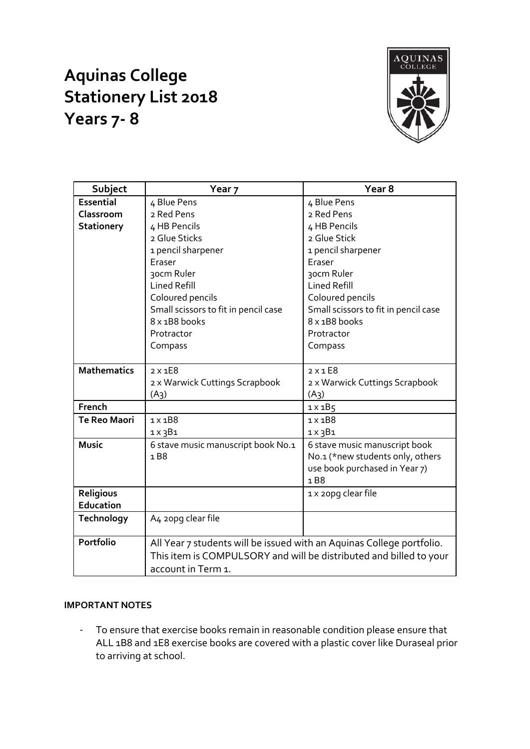## **Aquinas College Stationery List 2018 Years 7- 8**



| Subject             | Year <sub>7</sub>                                                     | Year <sub>8</sub>                    |  |  |
|---------------------|-----------------------------------------------------------------------|--------------------------------------|--|--|
| <b>Essential</b>    | 4 Blue Pens                                                           | 4 Blue Pens                          |  |  |
| Classroom           | 2 Red Pens                                                            | 2 Red Pens                           |  |  |
| <b>Stationery</b>   | 4 HB Pencils                                                          | 4 HB Pencils                         |  |  |
|                     | 2 Glue Sticks                                                         | 2 Glue Stick                         |  |  |
|                     | 1 pencil sharpener                                                    | 1 pencil sharpener                   |  |  |
|                     | Eraser                                                                | Eraser                               |  |  |
|                     | 30cm Ruler                                                            | 30cm Ruler                           |  |  |
|                     | <b>Lined Refill</b>                                                   | <b>Lined Refill</b>                  |  |  |
|                     | Coloured pencils                                                      | Coloured pencils                     |  |  |
|                     | Small scissors to fit in pencil case                                  | Small scissors to fit in pencil case |  |  |
|                     | 8 x 1B8 books                                                         | 8 x 1B8 books                        |  |  |
|                     | Protractor                                                            | Protractor                           |  |  |
|                     | Compass                                                               | Compass                              |  |  |
|                     |                                                                       |                                      |  |  |
| <b>Mathematics</b>  | $2 \times 1E8$                                                        | $2 \times 1$ E8                      |  |  |
|                     | 2 x Warwick Cuttings Scrapbook                                        | 2 x Warwick Cuttings Scrapbook       |  |  |
|                     | $(A_3)$                                                               | (A <sub>3</sub> )                    |  |  |
| French              |                                                                       | $1 \times 1B5$                       |  |  |
| <b>Te Reo Maori</b> | $1 \times 1B8$                                                        | $1 \times 1B8$                       |  |  |
|                     | $1 \times 3B1$                                                        | $1 \times 3B1$                       |  |  |
| <b>Music</b>        | 6 stave music manuscript book No.1                                    | 6 stave music manuscript book        |  |  |
|                     | 1B8                                                                   | No.1 (*new students only, others     |  |  |
|                     |                                                                       | use book purchased in Year 7)        |  |  |
|                     |                                                                       | 1B8                                  |  |  |
| Religious           |                                                                       | 1 x 20pg clear file                  |  |  |
| Education           |                                                                       |                                      |  |  |
| Technology          | A4 20pg clear file                                                    |                                      |  |  |
|                     |                                                                       |                                      |  |  |
| <b>Portfolio</b>    | All Year 7 students will be issued with an Aquinas College portfolio. |                                      |  |  |
|                     | This item is COMPULSORY and will be distributed and billed to your    |                                      |  |  |
|                     | account in Term 1.                                                    |                                      |  |  |

## **IMPORTANT NOTES**

- To ensure that exercise books remain in reasonable condition please ensure that ALL 1B8 and 1E8 exercise books are covered with a plastic cover like Duraseal prior to arriving at school.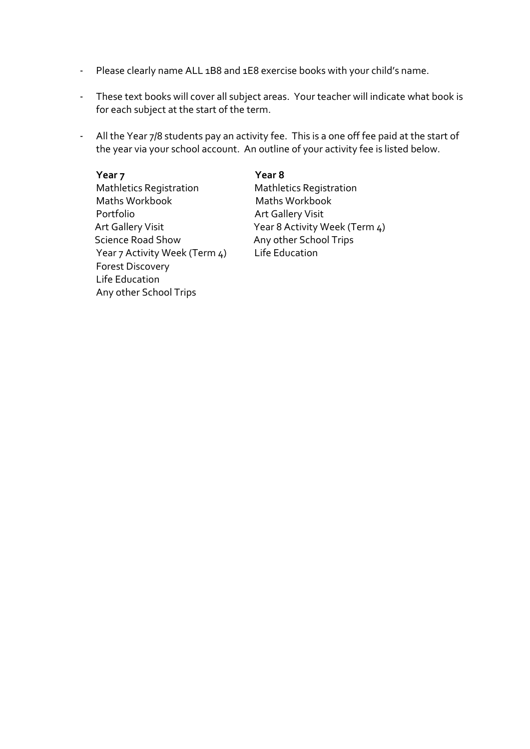- Please clearly name ALL 1B8 and 1E8 exercise books with your child's name.
- These text books will cover all subject areas. Your teacher will indicate what book is for each subject at the start of the term.
- All the Year 7/8 students pay an activity fee. This is a one off fee paid at the start of the year via your school account. An outline of your activity fee is listed below.

**Year 7 Year 8** Mathletics Registration Mathletics Registration Maths Workbook Maths Workbook Portfolio **Art Gallery Visit** Science Road Show Any other School Trips Year 7 Activity Week (Term 4) Life Education Forest Discovery Life Education Any other School Trips

Art Gallery Visit Year 8 Activity Week (Term 4)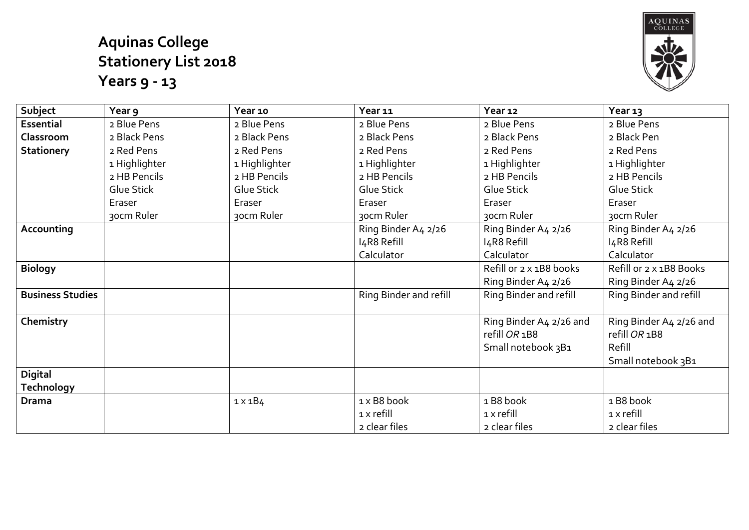## **Aquinas College Stationery List 2018 Years 9 - 13**



| Subject                      | Year 9        | Year 10        | Year 11                | Year 12                                                        | Year 13                                                                  |
|------------------------------|---------------|----------------|------------------------|----------------------------------------------------------------|--------------------------------------------------------------------------|
| <b>Essential</b>             | 2 Blue Pens   | 2 Blue Pens    | 2 Blue Pens            | 2 Blue Pens                                                    | 2 Blue Pens                                                              |
| Classroom                    | 2 Black Pens  | 2 Black Pens   | 2 Black Pens           | 2 Black Pens                                                   | 2 Black Pen                                                              |
| <b>Stationery</b>            | 2 Red Pens    | 2 Red Pens     | 2 Red Pens             | 2 Red Pens                                                     | 2 Red Pens                                                               |
|                              | 1 Highlighter | 1 Highlighter  | 1 Highlighter          | 1 Highlighter                                                  | 1 Highlighter                                                            |
|                              | 2 HB Pencils  | 2 HB Pencils   | 2 HB Pencils           | 2 HB Pencils                                                   | 2 HB Pencils                                                             |
|                              | Glue Stick    | Glue Stick     | Glue Stick             | Glue Stick                                                     | Glue Stick                                                               |
|                              | Eraser        | Eraser         | Eraser                 | Eraser                                                         | Eraser                                                                   |
|                              | 30cm Ruler    | 30cm Ruler     | 30cm Ruler             | 30cm Ruler                                                     | 30cm Ruler                                                               |
| Accounting                   |               |                | Ring Binder A4 2/26    | Ring Binder A4 2/26                                            | Ring Binder A4 2/26                                                      |
|                              |               |                | I4R8 Refill            | I4R8 Refill                                                    | I4R8 Refill                                                              |
|                              |               |                | Calculator             | Calculator                                                     | Calculator                                                               |
| <b>Biology</b>               |               |                |                        | Refill or 2 x 1B8 books                                        | Refill or 2 x 1B8 Books                                                  |
|                              |               |                |                        | Ring Binder A4 2/26                                            | Ring Binder A4 2/26                                                      |
| <b>Business Studies</b>      |               |                | Ring Binder and refill | Ring Binder and refill                                         | Ring Binder and refill                                                   |
| Chemistry                    |               |                |                        | Ring Binder A4 2/26 and<br>refill OR 1B8<br>Small notebook 3B1 | Ring Binder A4 2/26 and<br>refill OR 1B8<br>Refill<br>Small notebook 3B1 |
| <b>Digital</b><br>Technology |               |                |                        |                                                                |                                                                          |
| <b>Drama</b>                 |               | $1 \times 1B4$ | 1 x B8 book            | 1B8 book                                                       | 1 B8 book                                                                |
|                              |               |                | $1 \times$ refill      | $1 \times$ refill                                              | $1 \times$ refill                                                        |
|                              |               |                | 2 clear files          | 2 clear files                                                  | 2 clear files                                                            |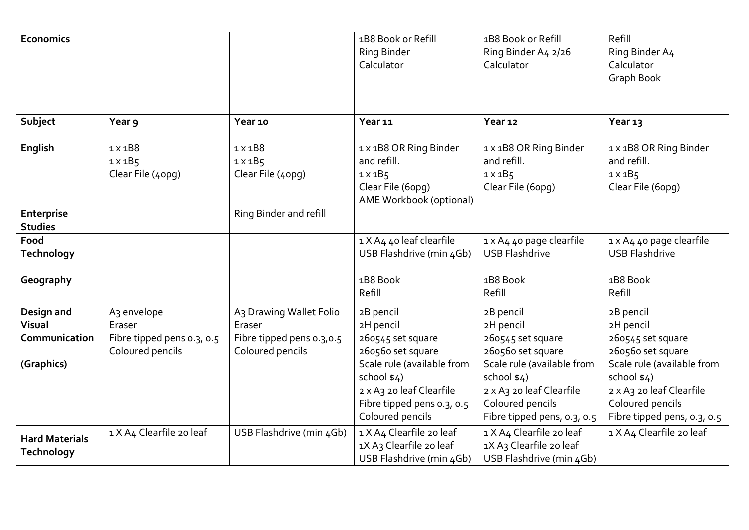| <b>Economics</b>                                    |                                                                                     |                                                                                    | 1B8 Book or Refill<br><b>Ring Binder</b><br>Calculator                                                                                                                                       | 1B8 Book or Refill<br>Ring Binder A4 2/26<br>Calculator                                                                                                                                       | Refill<br>Ring Binder A4<br>Calculator<br>Graph Book                                                                                                                                         |
|-----------------------------------------------------|-------------------------------------------------------------------------------------|------------------------------------------------------------------------------------|----------------------------------------------------------------------------------------------------------------------------------------------------------------------------------------------|-----------------------------------------------------------------------------------------------------------------------------------------------------------------------------------------------|----------------------------------------------------------------------------------------------------------------------------------------------------------------------------------------------|
| Subject                                             | Year 9                                                                              | Year 10                                                                            | Year <sub>11</sub>                                                                                                                                                                           | Year 12                                                                                                                                                                                       | Year 13                                                                                                                                                                                      |
| English                                             | $1 \times 1B8$<br>$1 \times 1B5$<br>Clear File (40pg)                               | $1 \times 1B8$<br>$1 \times 1B5$<br>Clear File (40pg)                              | 1 x 1B8 OR Ring Binder<br>and refill.<br>$1 \times 1B5$<br>Clear File (6opg)<br>AME Workbook (optional)                                                                                      | 1 x 1B8 OR Ring Binder<br>and refill.<br>$1 \times 1B5$<br>Clear File (6opg)                                                                                                                  | 1 x 1B8 OR Ring Binder<br>and refill.<br>$1 \times 1B5$<br>Clear File (6opg)                                                                                                                 |
| Enterprise<br><b>Studies</b>                        |                                                                                     | Ring Binder and refill                                                             |                                                                                                                                                                                              |                                                                                                                                                                                               |                                                                                                                                                                                              |
| Food<br><b>Technology</b>                           |                                                                                     |                                                                                    | 1 X A4 40 leaf clearfile<br>USB Flashdrive (min 4Gb)                                                                                                                                         | 1 x A4 40 page clearfile<br><b>USB Flashdrive</b>                                                                                                                                             | 1 x A4 40 page clearfile<br><b>USB Flashdrive</b>                                                                                                                                            |
| Geography                                           |                                                                                     |                                                                                    | 1B8 Book<br>Refill                                                                                                                                                                           | 1B8 Book<br>Refill                                                                                                                                                                            | 1B8 Book<br>Refill                                                                                                                                                                           |
| Design and<br>Visual<br>Communication<br>(Graphics) | A <sub>3</sub> envelope<br>Eraser<br>Fibre tipped pens 0.3, 0.5<br>Coloured pencils | A3 Drawing Wallet Folio<br>Eraser<br>Fibre tipped pens 0.3,0.5<br>Coloured pencils | 2B pencil<br>2H pencil<br>260545 set square<br>260560 set square<br>Scale rule (available from<br>school $$4)$<br>2 x A3 20 leaf Clearfile<br>Fibre tipped pens 0.3, 0.5<br>Coloured pencils | 2B pencil<br>2H pencil<br>260545 set square<br>260560 set square<br>Scale rule (available from<br>school $$4)$<br>2 x A3 20 leaf Clearfile<br>Coloured pencils<br>Fibre tipped pens, 0.3, 0.5 | 2B pencil<br>2H pencil<br>260545 set square<br>260560 set square<br>Scale rule (available from<br>school \$4)<br>2 x A3 20 leaf Clearfile<br>Coloured pencils<br>Fibre tipped pens, 0.3, 0.5 |
| <b>Hard Materials</b><br><b>Technology</b>          | 1 X A4 Clearfile 20 leaf                                                            | USB Flashdrive (min 4Gb)                                                           | 1 X A4 Clearfile 20 leaf<br>1X A3 Clearfile 20 leaf<br>USB Flashdrive (min 4Gb)                                                                                                              | 1 X A4 Clearfile 20 leaf<br>1X A3 Clearfile 20 leaf<br>USB Flashdrive (min 4Gb)                                                                                                               | 1 X A4 Clearfile 20 leaf                                                                                                                                                                     |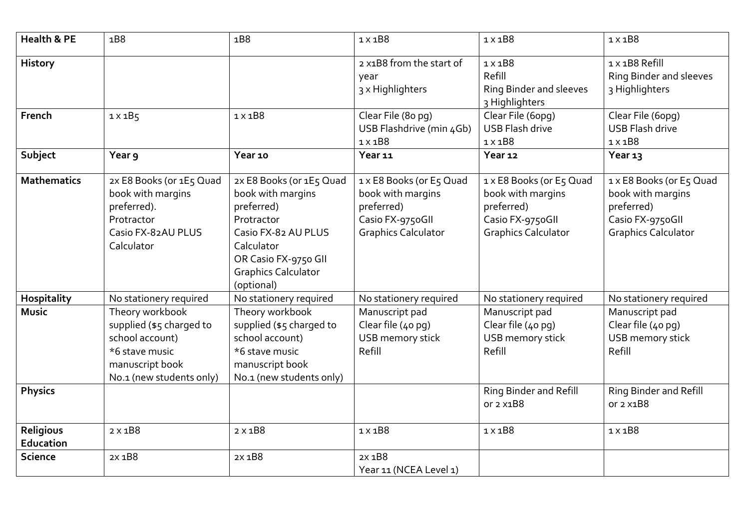| <b>Health &amp; PE</b> | 1B8                                                                                                                             | 1B8                                                                                                                                                                                | $1 \times 1B8$                                                                                                | $1 \times 1B8$                                                                                                | $1 \times 1B8$                                                                                                |
|------------------------|---------------------------------------------------------------------------------------------------------------------------------|------------------------------------------------------------------------------------------------------------------------------------------------------------------------------------|---------------------------------------------------------------------------------------------------------------|---------------------------------------------------------------------------------------------------------------|---------------------------------------------------------------------------------------------------------------|
| History                |                                                                                                                                 |                                                                                                                                                                                    | 2 x1B8 from the start of<br>year<br>3 x Highlighters                                                          | $1 \times 1B8$<br>Refill<br>Ring Binder and sleeves<br>3 Highlighters                                         | 1 x 1B8 Refill<br>Ring Binder and sleeves<br>3 Highlighters                                                   |
| French                 | $1 \times 1B5$                                                                                                                  | $1 \times 1B8$                                                                                                                                                                     | Clear File (80 pg)<br>USB Flashdrive (min 4Gb)<br>$1 \times 1B8$                                              | Clear File (6opq)<br><b>USB Flash drive</b><br>$1 \times 1B8$                                                 | Clear File (6opg)<br><b>USB Flash drive</b><br>$1 \times 1B8$                                                 |
| Subject                | Year 9                                                                                                                          | Year 10                                                                                                                                                                            | Year 11                                                                                                       | Year 12                                                                                                       | Year 13                                                                                                       |
| <b>Mathematics</b>     | 2x E8 Books (or 1E5 Quad<br>book with margins<br>preferred).<br>Protractor<br>Casio FX-82AU PLUS<br>Calculator                  | 2x E8 Books (or 1E5 Quad<br>book with margins<br>preferred)<br>Protractor<br>Casio FX-82 AU PLUS<br>Calculator<br>OR Casio FX-9750 GII<br><b>Graphics Calculator</b><br>(optional) | 1 x E8 Books (or E5 Quad<br>book with margins<br>preferred)<br>Casio FX-9750GII<br><b>Graphics Calculator</b> | 1 x E8 Books (or E5 Quad<br>book with margins<br>preferred)<br>Casio FX-9750GII<br><b>Graphics Calculator</b> | 1 x E8 Books (or E5 Quad<br>book with margins<br>preferred)<br>Casio FX-9750GII<br><b>Graphics Calculator</b> |
| <b>Hospitality</b>     | No stationery required                                                                                                          | No stationery required                                                                                                                                                             | No stationery required                                                                                        | No stationery required                                                                                        | No stationery required                                                                                        |
| <b>Music</b>           | Theory workbook<br>supplied (\$5 charged to<br>school account)<br>*6 stave music<br>manuscript book<br>No.1 (new students only) | Theory workbook<br>supplied (\$5 charged to<br>school account)<br>*6 stave music<br>manuscript book<br>No.1 (new students only)                                                    | Manuscript pad<br>Clear file (40 pg)<br>USB memory stick<br>Refill                                            | Manuscript pad<br>Clear file (40 pg)<br>USB memory stick<br>Refill                                            | Manuscript pad<br>Clear file (40 pg)<br>USB memory stick<br>Refill                                            |
| <b>Physics</b>         |                                                                                                                                 |                                                                                                                                                                                    |                                                                                                               | Ring Binder and Refill<br>or 2 x1B8                                                                           | Ring Binder and Refill<br>or 2 x1B8                                                                           |
| Religious<br>Education | $2 \times 1B8$                                                                                                                  | $2 \times 1B8$                                                                                                                                                                     | $1 \times 1B8$                                                                                                | $1 \times 1B8$                                                                                                | $1 \times 1B8$                                                                                                |
| <b>Science</b>         | 2X 1B8                                                                                                                          | 2x 1B8                                                                                                                                                                             | 2x 1B8<br>Year 11 (NCEA Level 1)                                                                              |                                                                                                               |                                                                                                               |